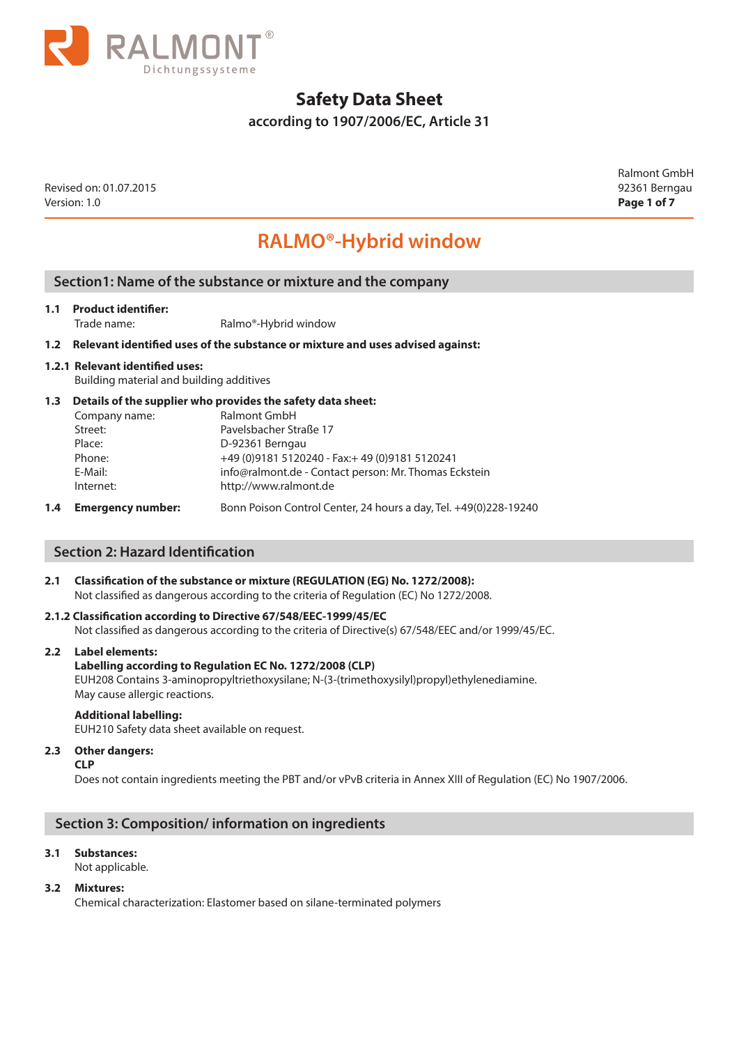

**according to 1907/2006/EC, Article 31**

Revised on: 01.07.2015 92361 Berngau Version: 1.0 **Page 1 of 7**

Ralmont GmbH

# **RALMO®-Hybrid window**

# **Section1: Name of the substance or mixture and the company**

## **1.1 Product identifier:**

Trade name: Ralmo®-Hybrid window

### **1.2 Relevant identified uses of the substance or mixture and uses advised against:**

## **1.2.1 Relevant identified uses:**

Building material and building additives

## **1.3 Details of the supplier who provides the safety data sheet:**

| Company name: | Ralmont GmbH                                          |
|---------------|-------------------------------------------------------|
| Street:       | Pavelsbacher Straße 17                                |
| Place:        | D-92361 Berngau                                       |
| Phone:        | +49 (0) 9181 5120240 - Fax: + 49 (0) 9181 5120241     |
| E-Mail:       | info@ralmont.de - Contact person: Mr. Thomas Eckstein |
| Internet:     | http://www.ralmont.de                                 |
|               |                                                       |

**1.4 Emergency number:** Bonn Poison Control Center, 24 hours a day, Tel. +49(0)228-19240

## **Section 2: Hazard Identification**

# **2.1 Classification of the substance or mixture (REGULATION (EG) No. 1272/2008):**

Not classified as dangerous according to the criteria of Regulation (EC) No 1272/2008.

## **2.1.2 Classification according to Directive 67/548/EEC-1999/45/EC**

Not classified as dangerous according to the criteria of Directive(s) 67/548/EEC and/or 1999/45/EC.

#### **2.2 Label elements:**

## **Labelling according to Regulation EC No. 1272/2008 (CLP)**

EUH208 Contains 3-aminopropyltriethoxysilane; N-(3-(trimethoxysilyl)propyl)ethylenediamine. May cause allergic reactions.

#### **Additional labelling:**

EUH210 Safety data sheet available on request.

#### **2.3 Other dangers:**

**CLP** 

Does not contain ingredients meeting the PBT and/or vPvB criteria in Annex XIII of Regulation (EC) No 1907/2006.

# **Section 3: Composition/ information on ingredients**

## **3.1 Substances:**

Not applicable.

### **3.2 Mixtures:**

Chemical characterization: Elastomer based on silane-terminated polymers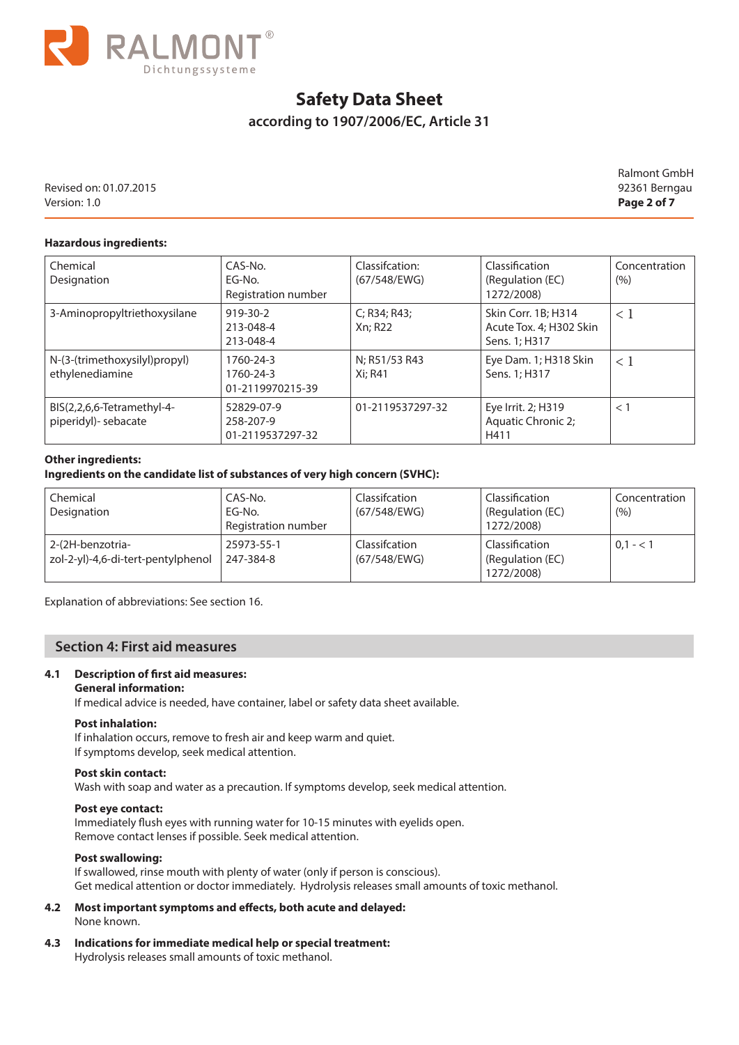

# **according to 1907/2006/EC, Article 31**

Revised on: 01.07.2015 92361 Berngau Version: 1.0 **Page 2 of 7**

Ralmont GmbH

## **Hazardous ingredients:**

| Chemical<br>Designation                            | CAS-No.<br>EG-No.<br>Registration number    | Classification:<br>(67/548/EWG) | Classification<br>(Regulation (EC)<br>1272/2008)                | Concentration<br>(%) |
|----------------------------------------------------|---------------------------------------------|---------------------------------|-----------------------------------------------------------------|----------------------|
| 3-Aminopropyltriethoxysilane                       | $919 - 30 - 2$<br>213-048-4<br>213-048-4    | C; R34; R43;<br>Xn; R22         | Skin Corr. 1B; H314<br>Acute Tox. 4; H302 Skin<br>Sens. 1; H317 | $\leq 1$             |
| N-(3-(trimethoxysilyl)propyl)<br>ethylenediamine   | 1760-24-3<br>1760-24-3<br>01-2119970215-39  | N; R51/53 R43<br>Xi: R41        | Eye Dam. 1; H318 Skin<br>Sens. 1; H317                          | $\lt 1$              |
| BIS(2,2,6,6-Tetramethyl-4-<br>piperidyl)- sebacate | 52829-07-9<br>258-207-9<br>01-2119537297-32 | 01-2119537297-32                | Eye Irrit. 2; H319<br>Aquatic Chronic 2;<br>H411                | $<$ 1                |

#### **Other ingredients:**

### **Ingredients on the candidate list of substances of very high concern (SVHC):**

| Chemical<br>Designation                                | CAS-No.<br>EG-No.<br>Registration number | Classifcation<br>(67/548/EWG) | Classification<br>(Regulation (EC)<br>1272/2008) | Concentration<br>(%) |
|--------------------------------------------------------|------------------------------------------|-------------------------------|--------------------------------------------------|----------------------|
| 2-(2H-benzotria-<br>zol-2-yl)-4,6-di-tert-pentylphenol | 25973-55-1<br>247-384-8                  | Classifcation<br>(67/548/EWG) | Classification<br>(Regulation (EC)<br>1272/2008) | $0.1 - 1$            |

Explanation of abbreviations: See section 16.

# **Section 4: First aid measures**

## **4.1 Description of first aid measures:**

#### **General information:**

If medical advice is needed, have container, label or safety data sheet available.

#### **Post inhalation:**

If inhalation occurs, remove to fresh air and keep warm and quiet. If symptoms develop, seek medical attention.

#### **Post skin contact:**

Wash with soap and water as a precaution. If symptoms develop, seek medical attention.

#### **Post eye contact:**

Immediately flush eyes with running water for 10-15 minutes with eyelids open. Remove contact lenses if possible. Seek medical attention.

#### **Post swallowing:**

 If swallowed, rinse mouth with plenty of water (only if person is conscious). Get medical attention or doctor immediately. Hydrolysis releases small amounts of toxic methanol.

#### **4.2 Most important symptoms and effects, both acute and delayed:** None known.

**4.3 Indications for immediate medical help or special treatment:**

Hydrolysis releases small amounts of toxic methanol.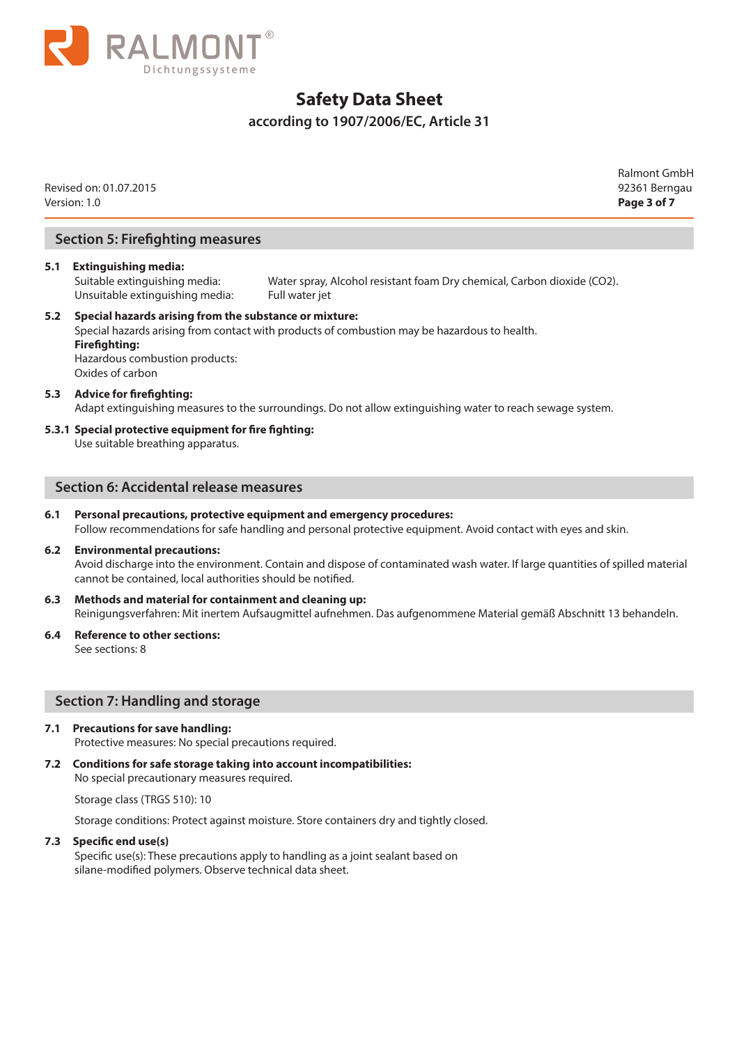

# **according to 1907/2006/EC, Article 31**

|     | Revised on: 01.07.2015<br>Version: 1.0                                                                                               |                                                                                                            | <b>Ralmont GmbH</b><br>92361 Berngau<br>Page 3 of 7 |
|-----|--------------------------------------------------------------------------------------------------------------------------------------|------------------------------------------------------------------------------------------------------------|-----------------------------------------------------|
|     | <b>Section 5: Firefighting measures</b>                                                                                              |                                                                                                            |                                                     |
| 5.1 | <b>Extinguishing media:</b><br>Suitable extinguishing media:<br>Unsuitable extinguishing media:                                      | Water spray, Alcohol resistant foam Dry chemical, Carbon dioxide (CO2).<br>Full water jet                  |                                                     |
| 5.2 | Special hazards arising from the substance or mixture:<br><b>Firefighting:</b><br>Hazardous combustion products:<br>Oxides of carbon | Special hazards arising from contact with products of combustion may be hazardous to health.               |                                                     |
| 5.3 | <b>Advice for firefighting:</b>                                                                                                      | Adapt extinguishing measures to the surroundings. Do not allow extinguishing water to reach sewage system. |                                                     |
|     | 5.3.1 Special protective equipment for fire fighting:<br>Use suitable breathing apparatus.                                           |                                                                                                            |                                                     |

## **Section 6: Accidental release measures**

## **6.1 Personal precautions, protective equipment and emergency procedures:** Follow recommendations for safe handling and personal protective equipment. Avoid contact with eyes and skin.

### **6.2 Environmental precautions:** Avoid discharge into the environment. Contain and dispose of contaminated wash water. If large quantities of spilled material cannot be contained, local authorities should be notified.

- **6.3 Methods and material for containment and cleaning up:** Reinigungsverfahren: Mit inertem Aufsaugmittel aufnehmen. Das aufgenommene Material gemäß Abschnitt 13 behandeln.
- **6.4 Reference to other sections:**  See sections: 8

# **Section 7: Handling and storage**

## **7.1 Precautions for save handling:**

Protective measures: No special precautions required.

#### **7.2 Conditions for safe storage taking into account incompatibilities:**

No special precautionary measures required.

Storage class (TRGS 510): 10

Storage conditions: Protect against moisture. Store containers dry and tightly closed.

#### **7.3 Specific end use(s)**

 Specific use(s): These precautions apply to handling as a joint sealant based on silane-modified polymers. Observe technical data sheet.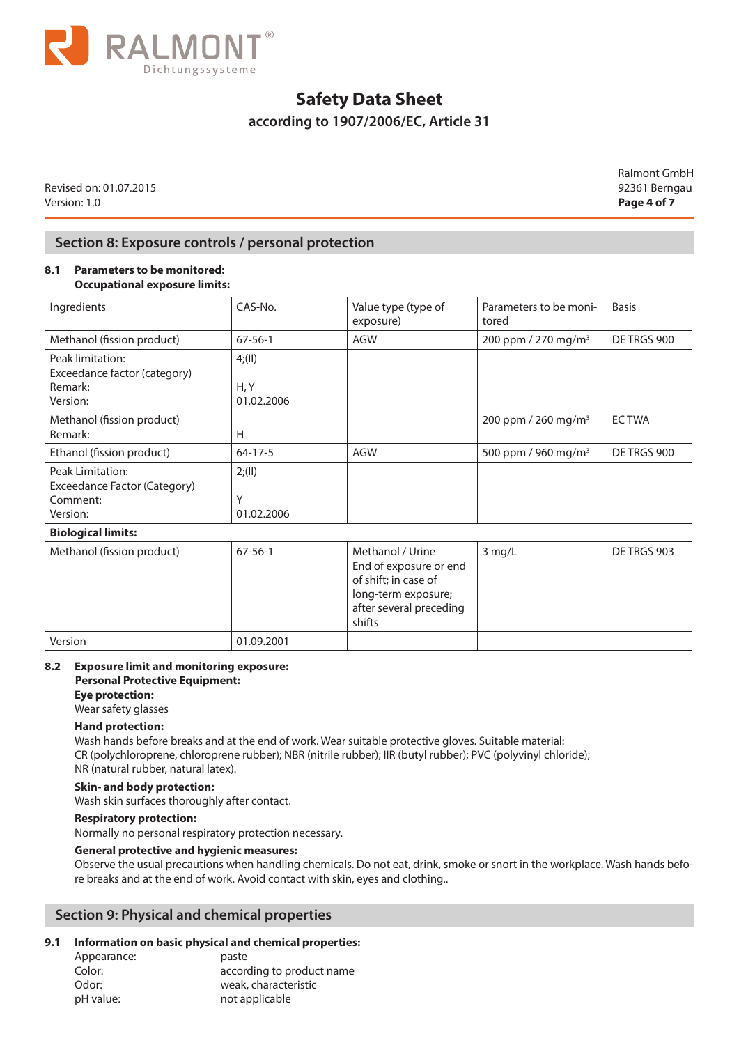

# **according to 1907/2006/EC, Article 31**

Revised on: 01.07.2015 92361 Berngau Version: 1.0 **Page 4 of 7**

Ralmont GmbH

# **Section 8: Exposure controls / personal protection**

### **8.1 Parameters to be monitored: Occupational exposure limits:**

| Ingredients                                                              | CAS-No.                    | Value type (type of<br>exposure)                                                                                               | Parameters to be moni-<br>tored | <b>Basis</b> |
|--------------------------------------------------------------------------|----------------------------|--------------------------------------------------------------------------------------------------------------------------------|---------------------------------|--------------|
| Methanol (fission product)                                               | $67 - 56 - 1$              | <b>AGW</b>                                                                                                                     | 200 ppm / 270 mg/m <sup>3</sup> | DE TRGS 900  |
| Peak limitation:<br>Exceedance factor (category)<br>Remark:              | 4; (II)<br>H, Y            |                                                                                                                                |                                 |              |
| Version:                                                                 | 01.02.2006                 |                                                                                                                                |                                 |              |
| Methanol (fission product)<br>Remark:                                    | Н                          |                                                                                                                                | 200 ppm / 260 mg/m <sup>3</sup> | <b>ECTWA</b> |
| Ethanol (fission product)                                                | $64 - 17 - 5$              | <b>AGW</b>                                                                                                                     | 500 ppm / 960 mg/m <sup>3</sup> | DE TRGS 900  |
| Peak Limitation:<br>Exceedance Factor (Category)<br>Comment:<br>Version: | 2; (II)<br>Υ<br>01.02.2006 |                                                                                                                                |                                 |              |
| <b>Biological limits:</b>                                                |                            |                                                                                                                                |                                 |              |
| Methanol (fission product)                                               | $67 - 56 - 1$              | Methanol / Urine<br>End of exposure or end<br>of shift; in case of<br>long-term exposure;<br>after several preceding<br>shifts | 3 mg/L                          | DE TRGS 903  |
| Version                                                                  | 01.09.2001                 |                                                                                                                                |                                 |              |

### **8.2 Exposure limit and monitoring exposure: Personal Protective Equipment:**

**Eye protection:** 

Wear safety glasses

## **Hand protection:**

Wash hands before breaks and at the end of work. Wear suitable protective gloves. Suitable material: CR (polychloroprene, chloroprene rubber); NBR (nitrile rubber); IIR (butyl rubber); PVC (polyvinyl chloride); NR (natural rubber, natural latex).

## **Skin- and body protection:**

Wash skin surfaces thoroughly after contact.

# **Respiratory protection:**

Normally no personal respiratory protection necessary.

## **General protective and hygienic measures:**

Observe the usual precautions when handling chemicals. Do not eat, drink, smoke or snort in the workplace. Wash hands before breaks and at the end of work. Avoid contact with skin, eyes and clothing..

# **Section 9: Physical and chemical properties**

## **9.1 Information on basic physical and chemical properties:**

| Appearance: | paste                     |
|-------------|---------------------------|
| Color:      | according to product name |
| Odor:       | weak, characteristic      |
| pH value:   | not applicable            |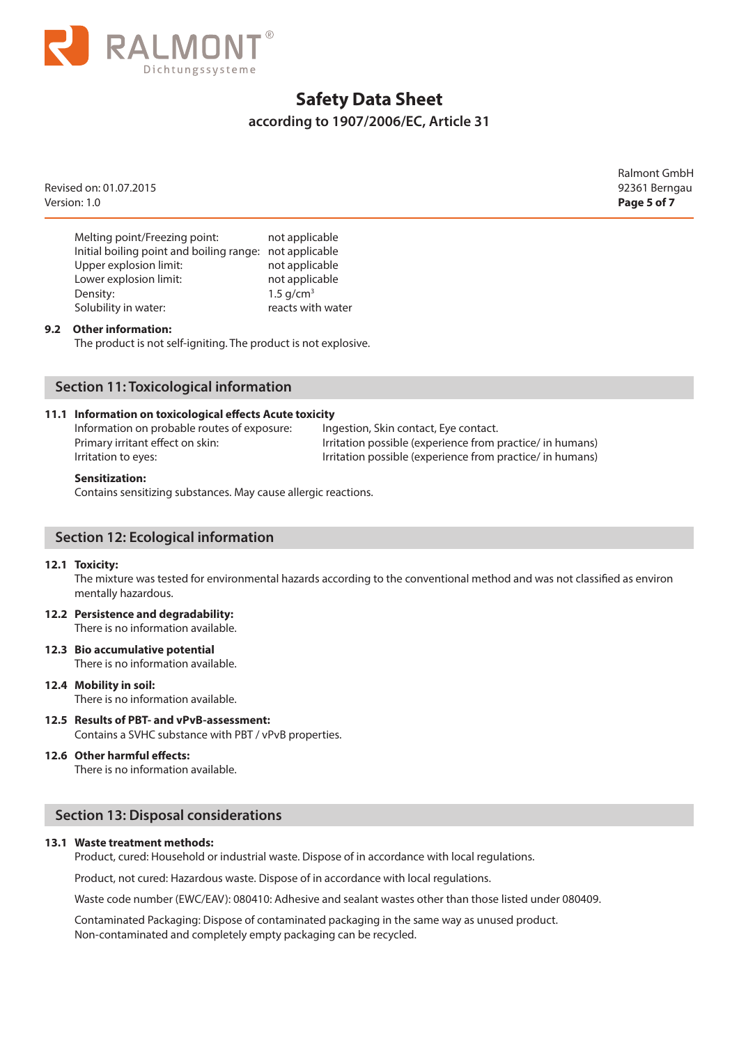

# **according to 1907/2006/EC, Article 31**

Revised on: 01.07.2015 92361 Berngau Version: 1.0 **Page 5 of 7**

Ralmont GmbH

| Melting point/Freezing point:                           | not applicable          |
|---------------------------------------------------------|-------------------------|
| Initial boiling point and boiling range: not applicable |                         |
| Upper explosion limit:                                  | not applicable          |
| Lower explosion limit:                                  | not applicable          |
| Density:                                                | $1.5$ g/cm <sup>3</sup> |
| Solubility in water:                                    | reacts with water       |

#### **9.2 Other information:**

The product is not self-igniting. The product is not explosive.

# **Section 11: Toxicological information**

#### **11.1 Information on toxicological effects Acute toxicity**

Information on probable routes of exposure: Ingestion, Skin contact, Eye contact.

Primary irritant effect on skin: Internation possible (experience from practice/ in humans) Irritation to eyes: Irritation possible (experience from practice/ in humans)

#### **Sensitization:**

Contains sensitizing substances. May cause allergic reactions.

## **Section 12: Ecological information**

#### **12.1 Toxicity:**

The mixture was tested for environmental hazards according to the conventional method and was not classified as environ mentally hazardous.

- **12.2 Persistence and degradability:**  There is no information available.
- **12.3 Bio accumulative potential** There is no information available.

#### **12.4 Mobility in soil:** There is no information available.

**12.5 Results of PBT- and vPvB-assessment:** Contains a SVHC substance with PBT / vPvB properties.

#### **12.6 Other harmful effects:**

There is no information available.

# **Section 13: Disposal considerations**

#### **13.1 Waste treatment methods:**

Product, cured: Household or industrial waste. Dispose of in accordance with local regulations.

Product, not cured: Hazardous waste. Dispose of in accordance with local regulations.

Waste code number (EWC/EAV): 080410: Adhesive and sealant wastes other than those listed under 080409.

Contaminated Packaging: Dispose of contaminated packaging in the same way as unused product. Non-contaminated and completely empty packaging can be recycled.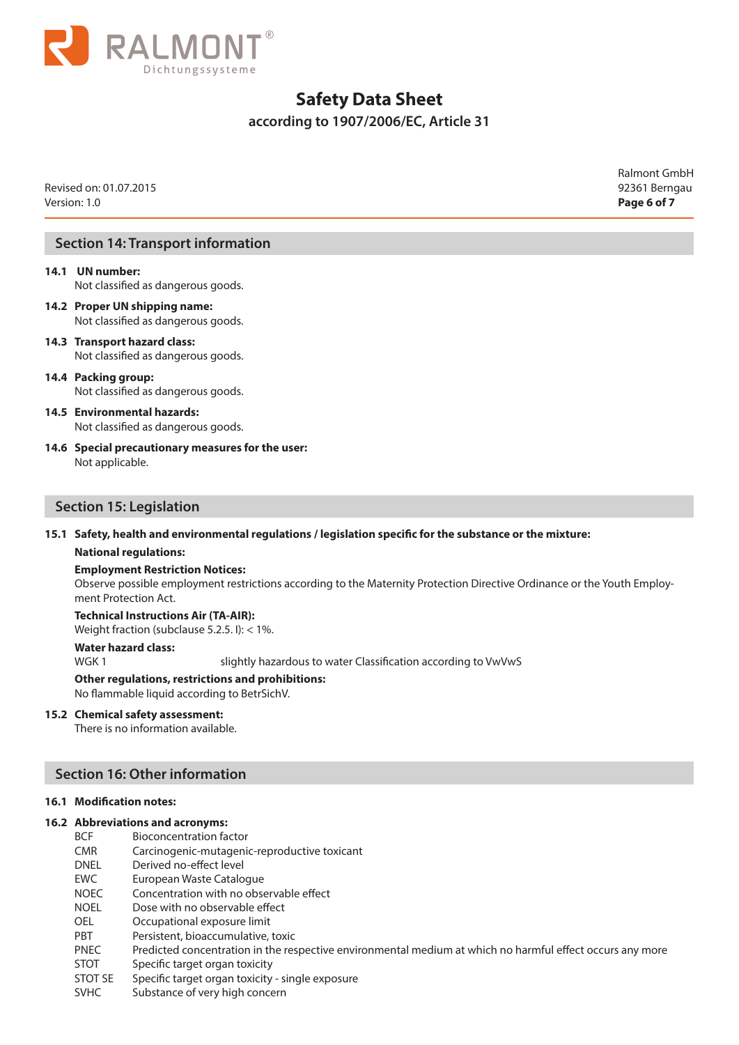

**according to 1907/2006/EC, Article 31**

Revised on: 01.07.2015 92361 Berngau Version: 1.0 **Page 6 of 7**

Ralmont GmbH

# **Section 14: Transport information**

# **14.1 UN number:** Not classified as dangerous goods.

- **14.2 Proper UN shipping name:** Not classified as dangerous goods.
- **14.3 Transport hazard class:** Not classified as dangerous goods.
- **14.4 Packing group:** Not classified as dangerous goods.
- **14.5 Environmental hazards:** Not classified as dangerous goods.
- **14.6 Special precautionary measures for the user:** Not applicable.

## **Section 15: Legislation**

**15.1 Safety, health and environmental regulations / legislation specific for the substance or the mixture:**

#### **National regulations:**

#### **Employment Restriction Notices:**

Observe possible employment restrictions according to the Maternity Protection Directive Ordinance or the Youth Employment Protection Act.

**Technical Instructions Air (TA-AIR):** Weight fraction (subclause 5.2.5. I): < 1%.

## **Water hazard class:**

WGK 1 slightly hazardous to water Classification according to VwVwS

#### **Other regulations, restrictions and prohibitions:** No flammable liquid according to BetrSichV.

## **15.2 Chemical safety assessment:**

There is no information available.

# **Section 16: Other information**

#### **16.1 Modification notes:**

## **16.2 Abbreviations and acronyms:**

- BCF Bioconcentration factor
- CMR Carcinogenic-mutagenic-reproductive toxicant
- DNEL Derived no-effect level
- EWC European Waste Catalogue
- NOEC Concentration with no observable effect
- NOEL Dose with no observable effect
- OEL Occupational exposure limit
- PBT Persistent, bioaccumulative, toxic
- PNEC Predicted concentration in the respective environmental medium at which no harmful effect occurs any more
- STOT Specific target organ toxicity
- STOT SE Specific target organ toxicity single exposure
- SVHC Substance of very high concern